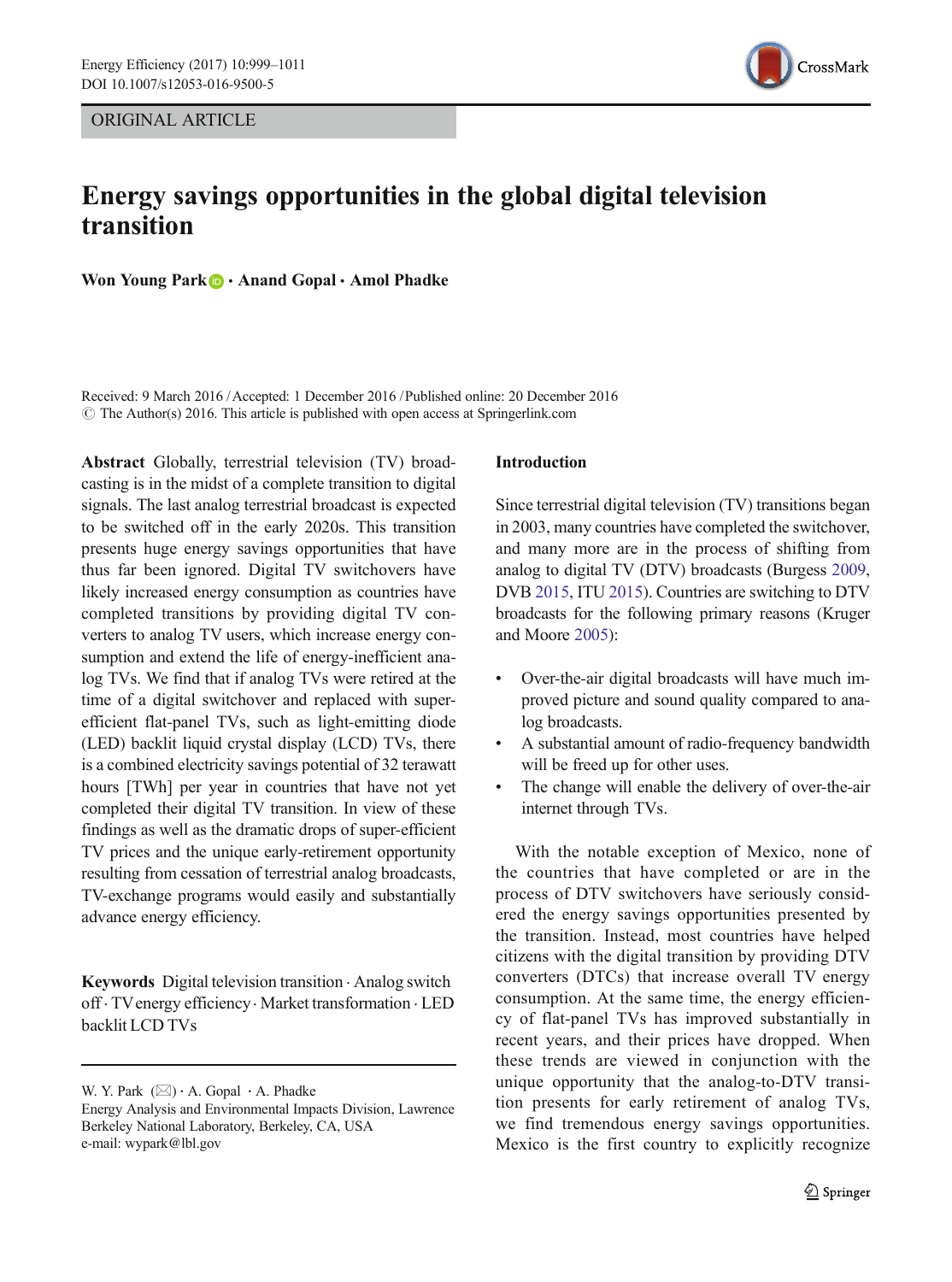ORIGINAL ARTICLE



# Energy savings opportunities in the global digital television transition

Won Young Park **&** Anand Gopal Amol Phadke

Received: 9 March 2016 /Accepted: 1 December 2016 /Published online: 20 December 2016  $\odot$  The Author(s) 2016. This article is published with open access at Springerlink.com

Abstract Globally, terrestrial television (TV) broadcasting is in the midst of a complete transition to digital signals. The last analog terrestrial broadcast is expected to be switched off in the early 2020s. This transition presents huge energy savings opportunities that have thus far been ignored. Digital TV switchovers have likely increased energy consumption as countries have completed transitions by providing digital TV converters to analog TV users, which increase energy consumption and extend the life of energy-inefficient analog TVs. We find that if analog TVs were retired at the time of a digital switchover and replaced with superefficient flat-panel TVs, such as light-emitting diode (LED) backlit liquid crystal display (LCD) TVs, there is a combined electricity savings potential of 32 terawatt hours [TWh] per year in countries that have not yet completed their digital TV transition. In view of these findings as well as the dramatic drops of super-efficient TV prices and the unique early-retirement opportunity resulting from cessation of terrestrial analog broadcasts, TV-exchange programs would easily and substantially advance energy efficiency.

Keywords Digital television transition . Analog switch off . TVenergy efficiency. Market transformation . LED backlit LCD TVs

#### Introduction

Since terrestrial digital television (TV) transitions began in 2003, many countries have completed the switchover, and many more are in the process of shifting from analog to digital TV (DTV) broadcasts (Burgess [2009,](#page-11-0) DVB [2015](#page-11-0), ITU [2015\)](#page-11-0). Countries are switching to DTV broadcasts for the following primary reasons (Kruger and Moore [2005\)](#page-11-0):

- Over-the-air digital broadcasts will have much improved picture and sound quality compared to analog broadcasts.
- & A substantial amount of radio-frequency bandwidth will be freed up for other uses.
- The change will enable the delivery of over-the-air internet through TVs.

With the notable exception of Mexico, none of the countries that have completed or are in the process of DTV switchovers have seriously considered the energy savings opportunities presented by the transition. Instead, most countries have helped citizens with the digital transition by providing DTV converters (DTCs) that increase overall TV energy consumption. At the same time, the energy efficiency of flat-panel TVs has improved substantially in recent years, and their prices have dropped. When these trends are viewed in conjunction with the unique opportunity that the analog-to-DTV transition presents for early retirement of analog TVs, we find tremendous energy savings opportunities. Mexico is the first country to explicitly recognize

W. Y. Park  $(\boxtimes) \cdot A$ . Gopal  $\cdot A$ . Phadke

Energy Analysis and Environmental Impacts Division, Lawrence Berkeley National Laboratory, Berkeley, CA, USA e-mail: wypark@lbl.gov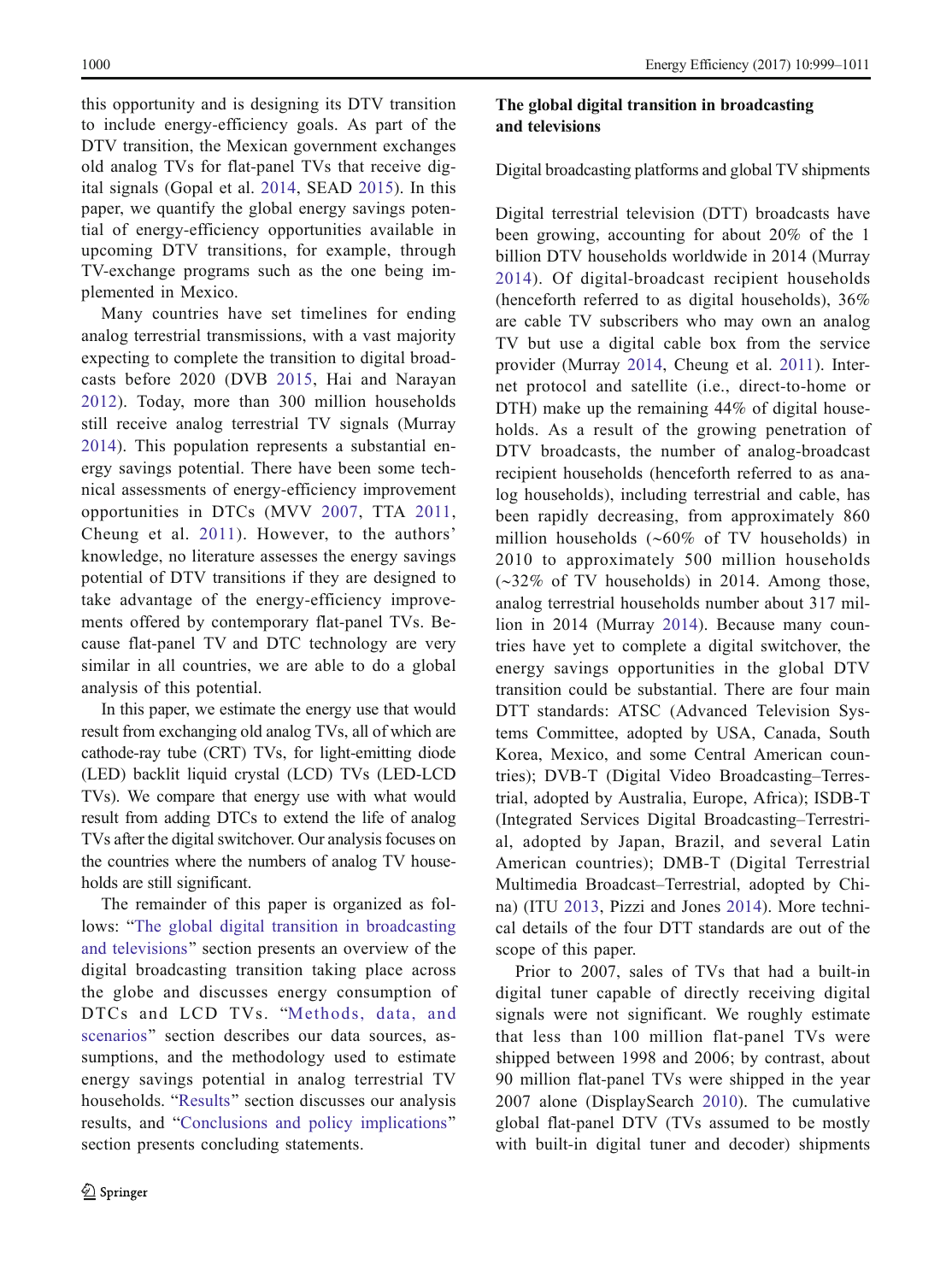<span id="page-1-0"></span>this opportunity and is designing its DTV transition to include energy-efficiency goals. As part of the DTV transition, the Mexican government exchanges old analog TVs for flat-panel TVs that receive digital signals (Gopal et al. [2014](#page-11-0), SEAD [2015](#page-12-0)). In this paper, we quantify the global energy savings potential of energy-efficiency opportunities available in upcoming DTV transitions, for example, through TV-exchange programs such as the one being implemented in Mexico.

Many countries have set timelines for ending analog terrestrial transmissions, with a vast majority expecting to complete the transition to digital broadcasts before 2020 (DVB [2015,](#page-11-0) Hai and Narayan [2012](#page-11-0)). Today, more than 300 million households still receive analog terrestrial TV signals (Murray [2014](#page-11-0)). This population represents a substantial energy savings potential. There have been some technical assessments of energy-efficiency improvement opportunities in DTCs (MVV [2007](#page-11-0), TTA [2011,](#page-12-0) Cheung et al. [2011\)](#page-11-0). However, to the authors' knowledge, no literature assesses the energy savings potential of DTV transitions if they are designed to take advantage of the energy-efficiency improvements offered by contemporary flat-panel TVs. Because flat-panel TV and DTC technology are very similar in all countries, we are able to do a global analysis of this potential.

In this paper, we estimate the energy use that would result from exchanging old analog TVs, all of which are cathode-ray tube (CRT) TVs, for light-emitting diode (LED) backlit liquid crystal (LCD) TVs (LED-LCD TVs). We compare that energy use with what would result from adding DTCs to extend the life of analog TVs after the digital switchover. Our analysis focuses on the countries where the numbers of analog TV households are still significant.

The remainder of this paper is organized as follows: "The global digital transition in broadcasting and televisions" section presents an overview of the digital broadcasting transition taking place across the globe and discusses energy consumption of DTCs and LCD TVs. "[Methods, data, and](#page-5-0) [scenarios](#page-5-0)" section describes our data sources, assumptions, and the methodology used to estimate energy savings potential in analog terrestrial TV households. "[Results](#page-9-0)" section discusses our analysis results, and "[Conclusions and policy implications](#page-10-0)" section presents concluding statements.

## The global digital transition in broadcasting and televisions

## Digital broadcasting platforms and global TV shipments

Digital terrestrial television (DTT) broadcasts have been growing, accounting for about 20% of the 1 billion DTV households worldwide in 2014 (Murray [2014](#page-11-0)). Of digital-broadcast recipient households (henceforth referred to as digital households), 36% are cable TV subscribers who may own an analog TV but use a digital cable box from the service provider (Murray [2014](#page-11-0), Cheung et al. [2011](#page-11-0)). Internet protocol and satellite (i.e., direct-to-home or DTH) make up the remaining 44% of digital households. As a result of the growing penetration of DTV broadcasts, the number of analog-broadcast recipient households (henceforth referred to as analog households), including terrestrial and cable, has been rapidly decreasing, from approximately 860 million households (∼60% of TV households) in 2010 to approximately 500 million households (∼32% of TV households) in 2014. Among those, analog terrestrial households number about 317 million in 2014 (Murray [2014](#page-11-0)). Because many countries have yet to complete a digital switchover, the energy savings opportunities in the global DTV transition could be substantial. There are four main DTT standards: ATSC (Advanced Television Systems Committee, adopted by USA, Canada, South Korea, Mexico, and some Central American countries); DVB-T (Digital Video Broadcasting–Terrestrial, adopted by Australia, Europe, Africa); ISDB-T (Integrated Services Digital Broadcasting–Terrestrial, adopted by Japan, Brazil, and several Latin American countries); DMB-T (Digital Terrestrial Multimedia Broadcast–Terrestrial, adopted by China) (ITU [2013,](#page-11-0) Pizzi and Jones [2014](#page-12-0)). More technical details of the four DTT standards are out of the scope of this paper.

Prior to 2007, sales of TVs that had a built-in digital tuner capable of directly receiving digital signals were not significant. We roughly estimate that less than 100 million flat-panel TVs were shipped between 1998 and 2006; by contrast, about 90 million flat-panel TVs were shipped in the year 2007 alone (DisplaySearch [2010](#page-11-0)). The cumulative global flat-panel DTV (TVs assumed to be mostly with built-in digital tuner and decoder) shipments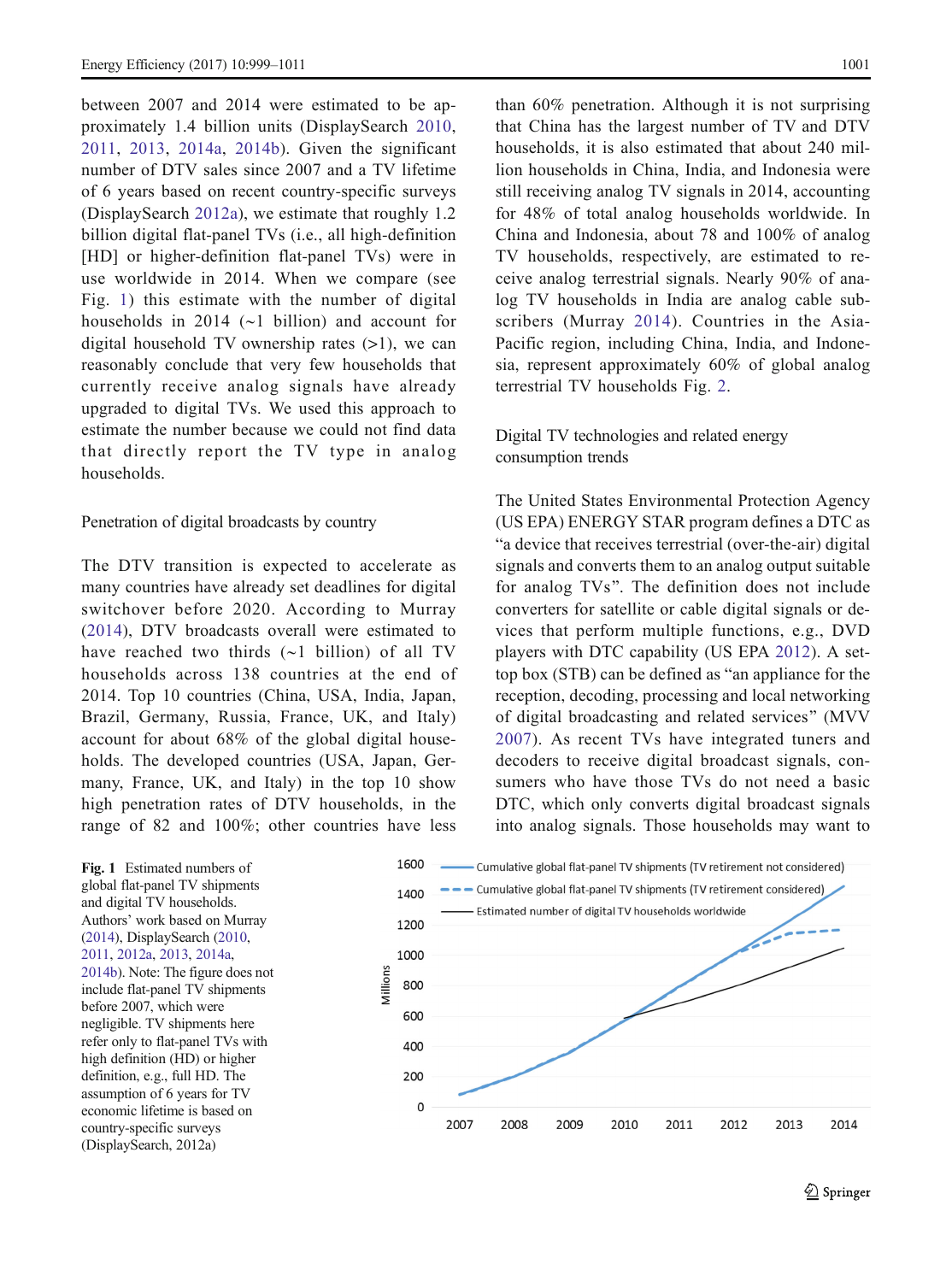<span id="page-2-0"></span>between 2007 and 2014 were estimated to be approximately 1.4 billion units (DisplaySearch [2010,](#page-11-0) [2011,](#page-11-0) [2013](#page-11-0), [2014a,](#page-11-0) [2014b\)](#page-11-0). Given the significant number of DTV sales since 2007 and a TV lifetime of 6 years based on recent country-specific surveys (DisplaySearch [2012a\)](#page-11-0), we estimate that roughly 1.2 billion digital flat-panel TVs (i.e., all high-definition [HD] or higher-definition flat-panel TVs) were in use worldwide in 2014. When we compare (see Fig. 1) this estimate with the number of digital households in 2014 (∼1 billion) and account for digital household TV ownership rates  $(>1)$ , we can reasonably conclude that very few households that currently receive analog signals have already upgraded to digital TVs. We used this approach to estimate the number because we could not find data that directly report the TV type in analog households.

#### Penetration of digital broadcasts by country

The DTV transition is expected to accelerate as many countries have already set deadlines for digital switchover before 2020. According to Murray ([2014](#page-11-0)), DTV broadcasts overall were estimated to have reached two thirds (∼1 billion) of all TV households across 138 countries at the end of 2014. Top 10 countries (China, USA, India, Japan, Brazil, Germany, Russia, France, UK, and Italy) account for about 68% of the global digital households. The developed countries (USA, Japan, Germany, France, UK, and Italy) in the top 10 show high penetration rates of DTV households, in the range of 82 and 100%; other countries have less

than 60% penetration. Although it is not surprising that China has the largest number of TV and DTV households, it is also estimated that about 240 million households in China, India, and Indonesia were still receiving analog TV signals in 2014, accounting for 48% of total analog households worldwide. In China and Indonesia, about 78 and 100% of analog TV households, respectively, are estimated to receive analog terrestrial signals. Nearly 90% of analog TV households in India are analog cable subscribers (Murray [2014](#page-11-0)). Countries in the Asia-Pacific region, including China, India, and Indonesia, represent approximately 60% of global analog terrestrial TV households Fig. [2.](#page-3-0)

Digital TV technologies and related energy consumption trends

The United States Environmental Protection Agency (US EPA) ENERGY STAR program defines a DTC as "a device that receives terrestrial (over-the-air) digital signals and converts them to an analog output suitable for analog TVs". The definition does not include converters for satellite or cable digital signals or devices that perform multiple functions, e.g., DVD players with DTC capability (US EPA [2012](#page-12-0)). A settop box (STB) can be defined as "an appliance for the reception, decoding, processing and local networking of digital broadcasting and related services^ (MVV [2007\)](#page-11-0). As recent TVs have integrated tuners and decoders to receive digital broadcast signals, consumers who have those TVs do not need a basic DTC, which only converts digital broadcast signals into analog signals. Those households may want to

Fig. 1 Estimated numbers of global flat-panel TV shipments and digital TV households. Authors' work based on Murray [\(2014\)](#page-11-0), DisplaySearch [\(2010,](#page-11-0) [2011](#page-11-0), [2012a](#page-11-0), [2013](#page-11-0), [2014a,](#page-11-0) [2014b](#page-11-0)). Note: The figure does not include flat-panel TV shipments before 2007, which were negligible. TV shipments here refer only to flat-panel TVs with high definition (HD) or higher definition, e.g., full HD. The assumption of 6 years for TV economic lifetime is based on country-specific surveys (DisplaySearch, 2012a)

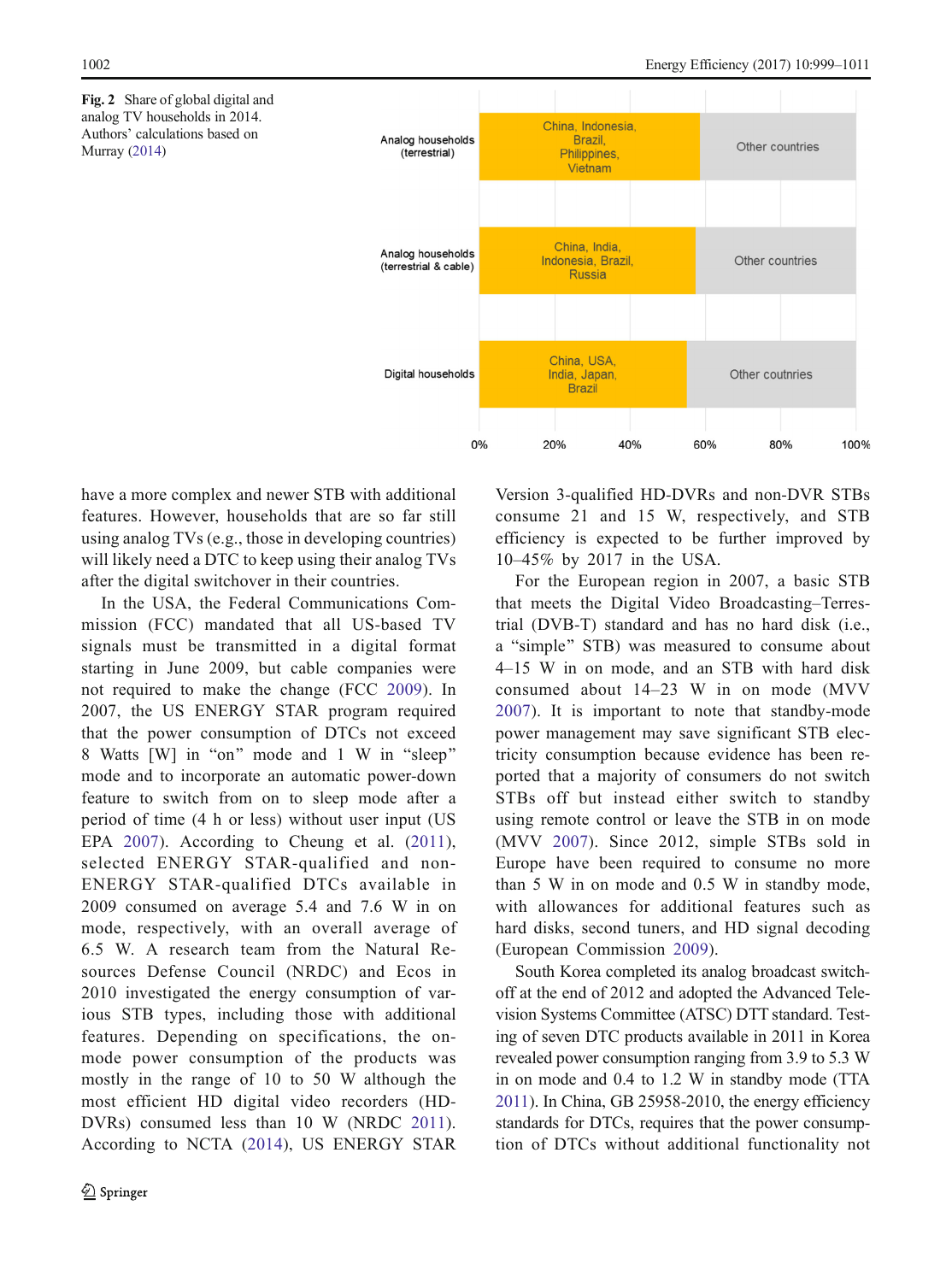<span id="page-3-0"></span>Fig. 2 Share of global digital and analog TV households in 2014. Authors' calculations based on Murray [\(2014\)](#page-11-0)



have a more complex and newer STB with additional features. However, households that are so far still using analog TVs (e.g., those in developing countries) will likely need a DTC to keep using their analog TVs after the digital switchover in their countries.

In the USA, the Federal Communications Commission (FCC) mandated that all US-based TV signals must be transmitted in a digital format starting in June 2009, but cable companies were not required to make the change (FCC [2009\)](#page-11-0). In 2007, the US ENERGY STAR program required that the power consumption of DTCs not exceed 8 Watts [W] in "on" mode and 1 W in "sleep" mode and to incorporate an automatic power-down feature to switch from on to sleep mode after a period of time (4 h or less) without user input (US EPA [2007](#page-12-0)). According to Cheung et al. [\(2011](#page-11-0)), selected ENERGY STAR-qualified and non-ENERGY STAR-qualified DTCs available in 2009 consumed on average 5.4 and 7.6 W in on mode, respectively, with an overall average of 6.5 W. A research team from the Natural Resources Defense Council (NRDC) and Ecos in 2010 investigated the energy consumption of various STB types, including those with additional features. Depending on specifications, the onmode power consumption of the products was mostly in the range of 10 to 50 W although the most efficient HD digital video recorders (HD-DVRs) consumed less than 10 W (NRDC [2011](#page-11-0)). According to NCTA [\(2014\)](#page-11-0), US ENERGY STAR

Version 3-qualified HD-DVRs and non-DVR STBs consume 21 and 15 W, respectively, and STB efficiency is expected to be further improved by 10–45% by 2017 in the USA.

For the European region in 2007, a basic STB that meets the Digital Video Broadcasting–Terrestrial (DVB-T) standard and has no hard disk (i.e., a "simple" STB) was measured to consume about 4–15 W in on mode, and an STB with hard disk consumed about 14–23 W in on mode (MVV [2007](#page-11-0)). It is important to note that standby-mode power management may save significant STB electricity consumption because evidence has been reported that a majority of consumers do not switch STBs off but instead either switch to standby using remote control or leave the STB in on mode (MVV [2007](#page-11-0)). Since 2012, simple STBs sold in Europe have been required to consume no more than 5 W in on mode and 0.5 W in standby mode, with allowances for additional features such as hard disks, second tuners, and HD signal decoding (European Commission [2009](#page-11-0)).

South Korea completed its analog broadcast switchoff at the end of 2012 and adopted the Advanced Television Systems Committee (ATSC) DTT standard. Testing of seven DTC products available in 2011 in Korea revealed power consumption ranging from 3.9 to 5.3 W in on mode and 0.4 to 1.2 W in standby mode (TTA [2011](#page-12-0)). In China, GB 25958-2010, the energy efficiency standards for DTCs, requires that the power consumption of DTCs without additional functionality not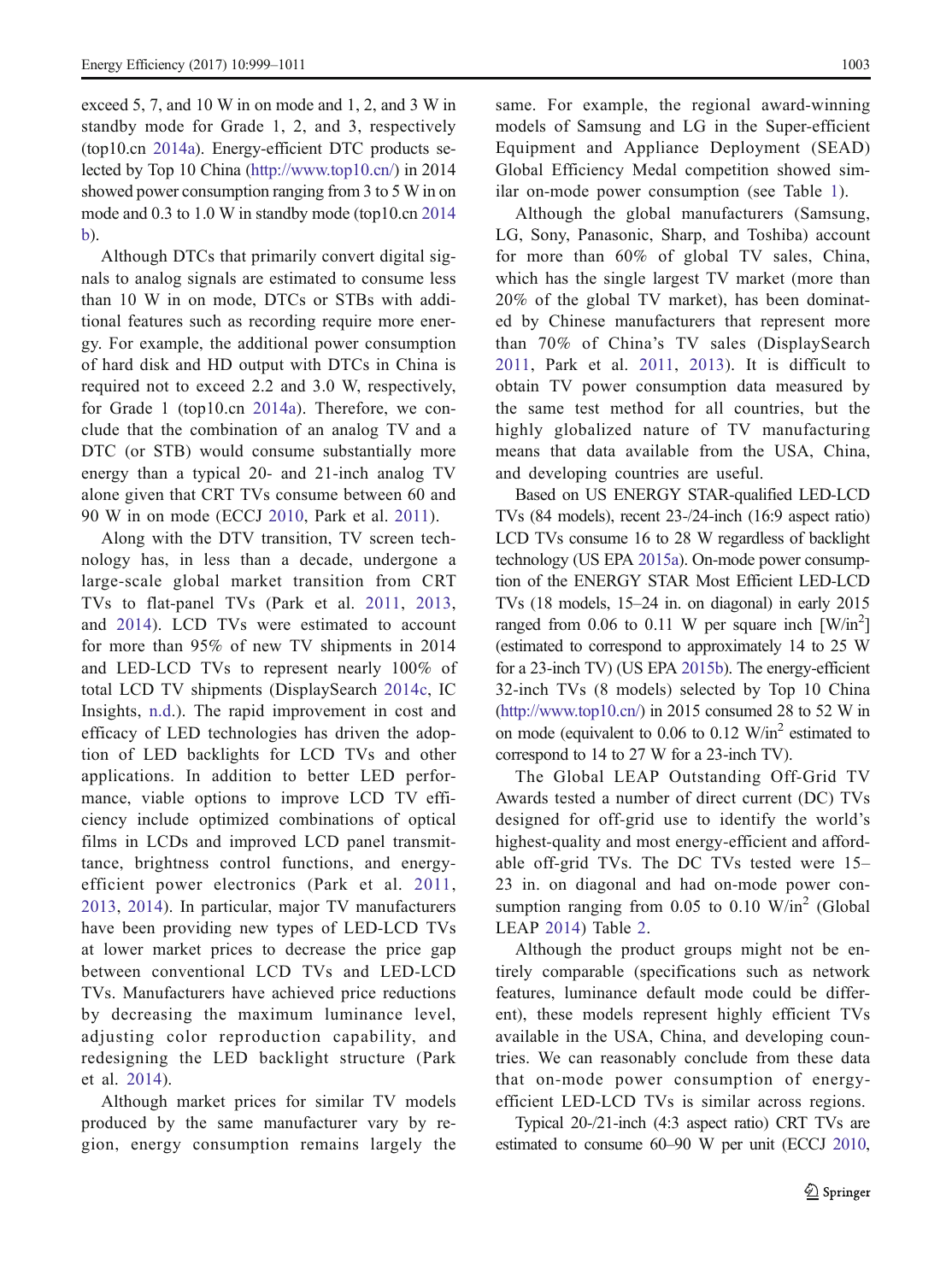exceed 5, 7, and 10 W in on mode and 1, 2, and 3 W in standby mode for Grade 1, 2, and 3, respectively (top10.cn [2014a](#page-12-0)). Energy-efficient DTC products selected by Top 10 China [\(http://www.top10.cn/](http://www.top10.cn/)) in 2014 showed power consumption ranging from 3 to 5 W in on mode and 0.3 to 1.0 W in standby mode (top10.cn [2014](#page-12-0) [b\)](#page-12-0).

Although DTCs that primarily convert digital signals to analog signals are estimated to consume less than 10 W in on mode, DTCs or STBs with additional features such as recording require more energy. For example, the additional power consumption of hard disk and HD output with DTCs in China is required not to exceed 2.2 and 3.0 W, respectively, for Grade 1 (top10.cn [2014a](#page-12-0)). Therefore, we conclude that the combination of an analog TV and a DTC (or STB) would consume substantially more energy than a typical 20- and 21-inch analog TV alone given that CRT TVs consume between 60 and 90 W in on mode (ECCJ [2010,](#page-11-0) Park et al. [2011](#page-12-0)).

Along with the DTV transition, TV screen technology has, in less than a decade, undergone a large-scale global market transition from CRT TVs to flat-panel TVs (Park et al. [2011,](#page-12-0) [2013,](#page-12-0) and [2014](#page-12-0)). LCD TVs were estimated to account for more than 95% of new TV shipments in 2014 and LED-LCD TVs to represent nearly 100% of total LCD TV shipments (DisplaySearch [2014c,](#page-11-0) IC Insights, [n.d.](#page-11-0)). The rapid improvement in cost and efficacy of LED technologies has driven the adoption of LED backlights for LCD TVs and other applications. In addition to better LED performance, viable options to improve LCD TV efficiency include optimized combinations of optical films in LCDs and improved LCD panel transmittance, brightness control functions, and energyefficient power electronics (Park et al. [2011,](#page-12-0) [2013](#page-12-0), [2014\)](#page-12-0). In particular, major TV manufacturers have been providing new types of LED-LCD TVs at lower market prices to decrease the price gap between conventional LCD TVs and LED-LCD TVs. Manufacturers have achieved price reductions by decreasing the maximum luminance level, adjusting color reproduction capability, and redesigning the LED backlight structure (Park et al. [2014](#page-12-0)).

Although market prices for similar TV models produced by the same manufacturer vary by region, energy consumption remains largely the same. For example, the regional award-winning models of Samsung and LG in the Super-efficient Equipment and Appliance Deployment (SEAD) Global Efficiency Medal competition showed similar on-mode power consumption (see Table [1](#page-5-0)).

Although the global manufacturers (Samsung, LG, Sony, Panasonic, Sharp, and Toshiba) account for more than 60% of global TV sales, China, which has the single largest TV market (more than 20% of the global TV market), has been dominated by Chinese manufacturers that represent more than 70% of China's TV sales (DisplaySearch [2011](#page-11-0), Park et al. [2011,](#page-12-0) [2013\)](#page-12-0). It is difficult to obtain TV power consumption data measured by the same test method for all countries, but the highly globalized nature of TV manufacturing means that data available from the USA, China, and developing countries are useful.

Based on US ENERGY STAR-qualified LED-LCD TVs (84 models), recent 23-/24-inch (16:9 aspect ratio) LCD TVs consume 16 to 28 W regardless of backlight technology (US EPA [2015a](#page-12-0)). On-mode power consumption of the ENERGY STAR Most Efficient LED-LCD TVs (18 models, 15–24 in. on diagonal) in early 2015 ranged from 0.06 to 0.11 W per square inch  $\text{[W/in}^2\text{]}$ (estimated to correspond to approximately 14 to 25 W for a 23-inch TV) (US EPA [2015b\)](#page-12-0). The energy-efficient 32-inch TVs (8 models) selected by Top 10 China [\(http://www.top10.cn/\)](http://www.top10.cn/) in 2015 consumed 28 to 52 W in on mode (equivalent to  $0.06$  to  $0.12$  W/in<sup>2</sup> estimated to correspond to 14 to 27 W for a 23-inch TV).

The Global LEAP Outstanding Off-Grid TV Awards tested a number of direct current (DC) TVs designed for off-grid use to identify the world's highest-quality and most energy-efficient and affordable off-grid TVs. The DC TVs tested were 15– 23 in. on diagonal and had on-mode power consumption ranging from  $0.05$  to  $0.10$  W/in<sup>2</sup> (Global LEAP [2014\)](#page-11-0) Table [2.](#page-5-0)

Although the product groups might not be entirely comparable (specifications such as network features, luminance default mode could be different), these models represent highly efficient TVs available in the USA, China, and developing countries. We can reasonably conclude from these data that on-mode power consumption of energyefficient LED-LCD TVs is similar across regions.

Typical 20-/21-inch (4:3 aspect ratio) CRT TVs are estimated to consume 60–90 W per unit (ECCJ [2010,](#page-11-0)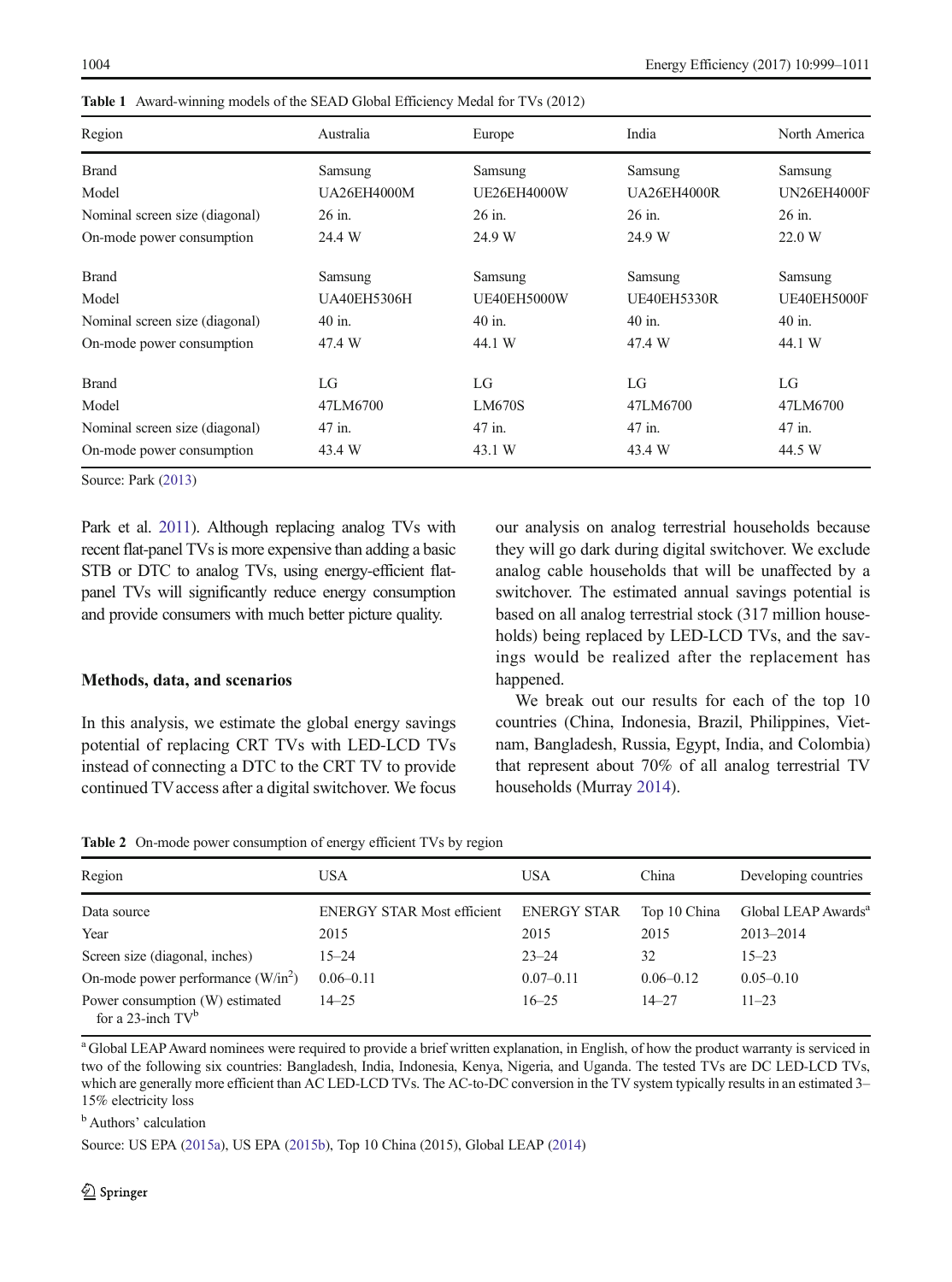| Region                         | Australia          | Europe             | India              | North America      |
|--------------------------------|--------------------|--------------------|--------------------|--------------------|
| <b>Brand</b>                   | Samsung            | Samsung            | Samsung            | Samsung            |
| Model                          | <b>UA26EH4000M</b> | <b>UE26EH4000W</b> | <b>UA26EH4000R</b> | <b>UN26EH4000F</b> |
| Nominal screen size (diagonal) | 26 in.             | 26 in.             | 26 in.             | 26 in.             |
| On-mode power consumption      | 24.4 W             | 24.9 W             | 24.9 W             | 22.0 W             |
| <b>Brand</b>                   | Samsung            | Samsung            | Samsung            | Samsung            |
| Model                          | <b>UA40EH5306H</b> | <b>UE40EH5000W</b> | <b>UE40EH5330R</b> | UE40EH5000F        |
| Nominal screen size (diagonal) | 40 in.             | 40 in.             | 40 in.             | 40 in.             |
| On-mode power consumption      | 47.4 W             | 44.1 W             | 47.4 W             | 44.1 W             |
| <b>Brand</b>                   | LG                 | LG                 | LG                 | LG                 |
| Model                          | 47LM6700           | <b>LM670S</b>      | 47LM6700           | 47LM6700           |
| Nominal screen size (diagonal) | 47 in.             | 47 in.             | 47 in.             | 47 in.             |
| On-mode power consumption      | 43.4 W             | 43.1 W             | 43.4 W             | 44.5 W             |

<span id="page-5-0"></span>Table 1 Award-winning models of the SEAD Global Efficiency Medal for TVs (2012)

Source: Park ([2013](#page-12-0))

Park et al. [2011\)](#page-12-0). Although replacing analog TVs with recent flat-panel TVs is more expensive than adding a basic STB or DTC to analog TVs, using energy-efficient flatpanel TVs will significantly reduce energy consumption and provide consumers with much better picture quality.

## Methods, data, and scenarios

In this analysis, we estimate the global energy savings potential of replacing CRT TVs with LED-LCD TVs instead of connecting a DTC to the CRT TV to provide continued TVaccess after a digital switchover. We focus our analysis on analog terrestrial households because they will go dark during digital switchover. We exclude analog cable households that will be unaffected by a switchover. The estimated annual savings potential is based on all analog terrestrial stock (317 million households) being replaced by LED-LCD TVs, and the savings would be realized after the replacement has happened.

We break out our results for each of the top 10 countries (China, Indonesia, Brazil, Philippines, Vietnam, Bangladesh, Russia, Egypt, India, and Colombia) that represent about 70% of all analog terrestrial TV households (Murray [2014\)](#page-11-0).

|  |  |  | <b>Table 2</b> On-mode power consumption of energy efficient TVs by region |  |  |  |  |  |
|--|--|--|----------------------------------------------------------------------------|--|--|--|--|--|
|--|--|--|----------------------------------------------------------------------------|--|--|--|--|--|

| Region                                                  | USA                               | <b>USA</b>         | China         | Developing countries            |
|---------------------------------------------------------|-----------------------------------|--------------------|---------------|---------------------------------|
| Data source                                             | <b>ENERGY STAR Most efficient</b> | <b>ENERGY STAR</b> | Top 10 China  | Global LEAP Awards <sup>a</sup> |
| Year                                                    | 2015                              | 2015               | 2015          | $2013 - 2014$                   |
| Screen size (diagonal, inches)                          | $15 - 24$                         | $23 - 24$          | 32            | $15 - 23$                       |
| On-mode power performance $(W/in2)$                     | $0.06 - 0.11$                     | $0.07 - 0.11$      | $0.06 - 0.12$ | $0.05 - 0.10$                   |
| Power consumption (W) estimated<br>for a 23-inch $TV^b$ | $14 - 25$                         | $16 - 25$          | $14 - 27$     | $11 - 23$                       |

<sup>a</sup> Global LEAP Award nominees were required to provide a brief written explanation, in English, of how the product warranty is serviced in two of the following six countries: Bangladesh, India, Indonesia, Kenya, Nigeria, and Uganda. The tested TVs are DC LED-LCD TVs, which are generally more efficient than AC LED-LCD TVs. The AC-to-DC conversion in the TV system typically results in an estimated 3– 15% electricity loss

<sup>b</sup> Authors' calculation

Source: US EPA ([2015a\)](#page-12-0), US EPA [\(2015b](#page-12-0)), Top 10 China (2015), Global LEAP ([2014](#page-11-0))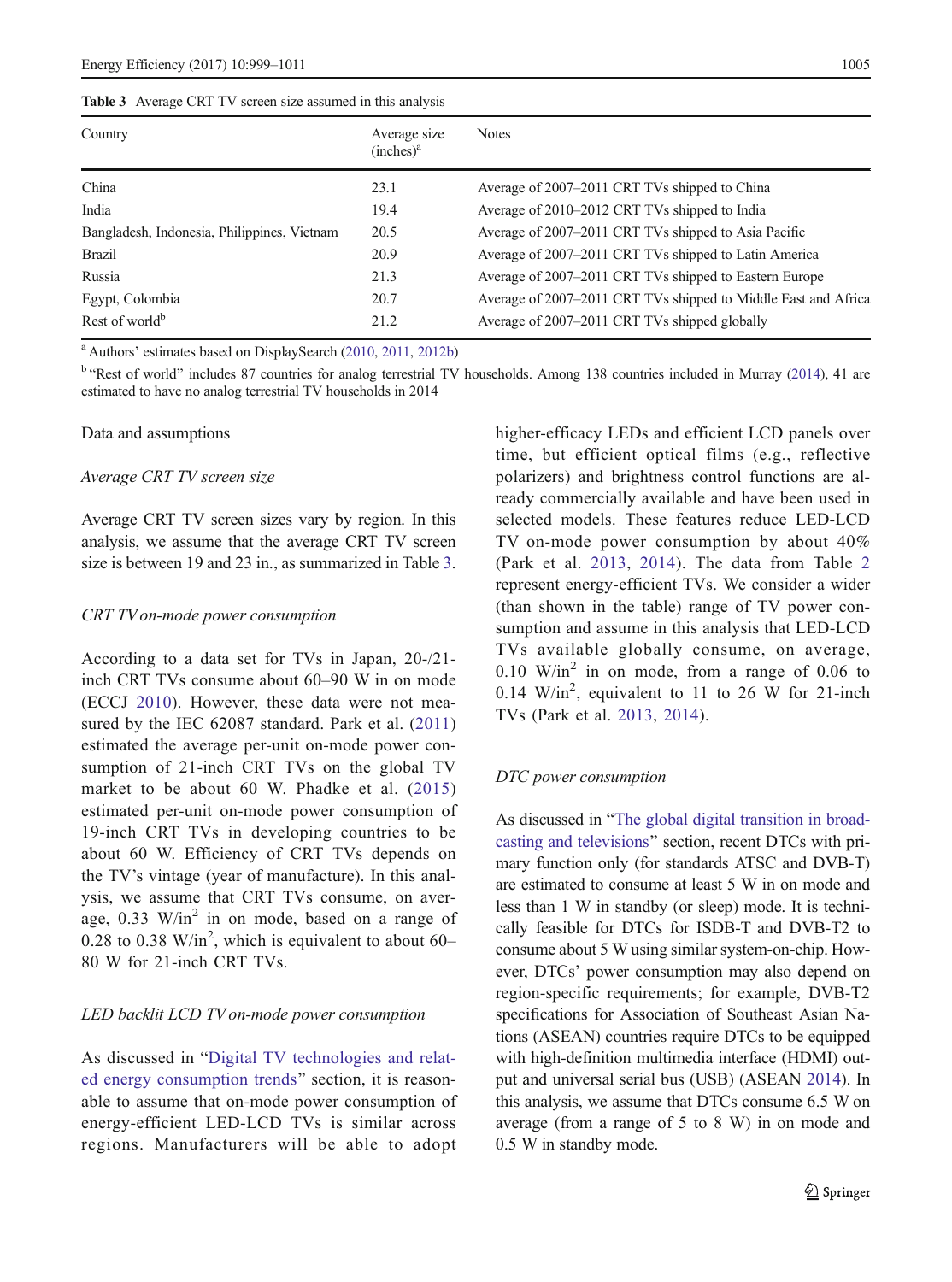<span id="page-6-0"></span>Table 3 Average CRT TV screen size assumed in this analysis

| Average size<br>(inches) <sup>a</sup> | <b>Notes</b>                                                   |
|---------------------------------------|----------------------------------------------------------------|
| 23.1                                  | Average of 2007–2011 CRT TVs shipped to China                  |
| 19.4                                  | Average of 2010–2012 CRT TVs shipped to India                  |
| 20.5                                  | Average of 2007–2011 CRT TVs shipped to Asia Pacific           |
| 20.9                                  | Average of 2007–2011 CRT TVs shipped to Latin America          |
| 21.3                                  | Average of 2007–2011 CRT TVs shipped to Eastern Europe         |
| 20.7                                  | Average of 2007-2011 CRT TVs shipped to Middle East and Africa |
| 21.2                                  | Average of 2007–2011 CRT TVs shipped globally                  |
|                                       |                                                                |

<sup>a</sup> Authors' estimates based on DisplaySearch ([2010](#page-11-0), [2011,](#page-11-0) [2012b\)](#page-11-0)

<sup>b</sup> 'Rest of world' includes 87 countries for analog terrestrial TV households. Among 138 countries included in Murray [\(2014\)](#page-11-0), 41 are estimated to have no analog terrestrial TV households in 2014

#### Data and assumptions

#### Average CRT TV screen size

Average CRT TV screen sizes vary by region. In this analysis, we assume that the average CRT TV screen size is between 19 and 23 in., as summarized in Table 3.

#### CRT TV on-mode power consumption

According to a data set for TVs in Japan, 20-/21 inch CRT TVs consume about 60–90 W in on mode (ECCJ [2010\)](#page-11-0). However, these data were not measured by the IEC 62087 standard. Park et al. ([2011\)](#page-12-0) estimated the average per-unit on-mode power consumption of 21-inch CRT TVs on the global TV market to be about 60 W. Phadke et al. ([2015\)](#page-12-0) estimated per-unit on-mode power consumption of 19-inch CRT TVs in developing countries to be about 60 W. Efficiency of CRT TVs depends on the TV's vintage (year of manufacture). In this analysis, we assume that CRT TVs consume, on average,  $0.33$  W/in<sup>2</sup> in on mode, based on a range of 0.28 to 0.38 W/in<sup>2</sup>, which is equivalent to about  $60-$ 80 W for 21-inch CRT TVs.

#### LED backlit LCD TV on-mode power consumption

As discussed in "[Digital TV technologies and relat](#page-2-0)[ed energy consumption trends](#page-2-0)" section, it is reasonable to assume that on-mode power consumption of energy-efficient LED-LCD TVs is similar across regions. Manufacturers will be able to adopt

higher-efficacy LEDs and efficient LCD panels over time, but efficient optical films (e.g., reflective polarizers) and brightness control functions are already commercially available and have been used in selected models. These features reduce LED-LCD TV on-mode power consumption by about 40% (Park et al. [2013](#page-12-0), [2014\)](#page-12-0). The data from Table [2](#page-5-0) represent energy-efficient TVs. We consider a wider (than shown in the table) range of TV power consumption and assume in this analysis that LED-LCD TVs available globally consume, on average,  $0.10$  W/in<sup>2</sup> in on mode, from a range of 0.06 to  $0.14$  W/in<sup>2</sup>, equivalent to 11 to 26 W for 21-inch TVs (Park et al. [2013](#page-12-0), [2014\)](#page-12-0).

#### DTC power consumption

As discussed in "[The global digital transition in broad](#page-1-0)[casting and televisions](#page-1-0)" section, recent DTCs with primary function only (for standards ATSC and DVB-T) are estimated to consume at least 5 W in on mode and less than 1 W in standby (or sleep) mode. It is technically feasible for DTCs for ISDB-T and DVB-T2 to consume about 5 W using similar system-on-chip. However, DTCs' power consumption may also depend on region-specific requirements; for example, DVB-T2 specifications for Association of Southeast Asian Nations (ASEAN) countries require DTCs to be equipped with high-definition multimedia interface (HDMI) output and universal serial bus (USB) (ASEAN [2014\)](#page-11-0). In this analysis, we assume that DTCs consume 6.5 W on average (from a range of 5 to 8 W) in on mode and 0.5 W in standby mode.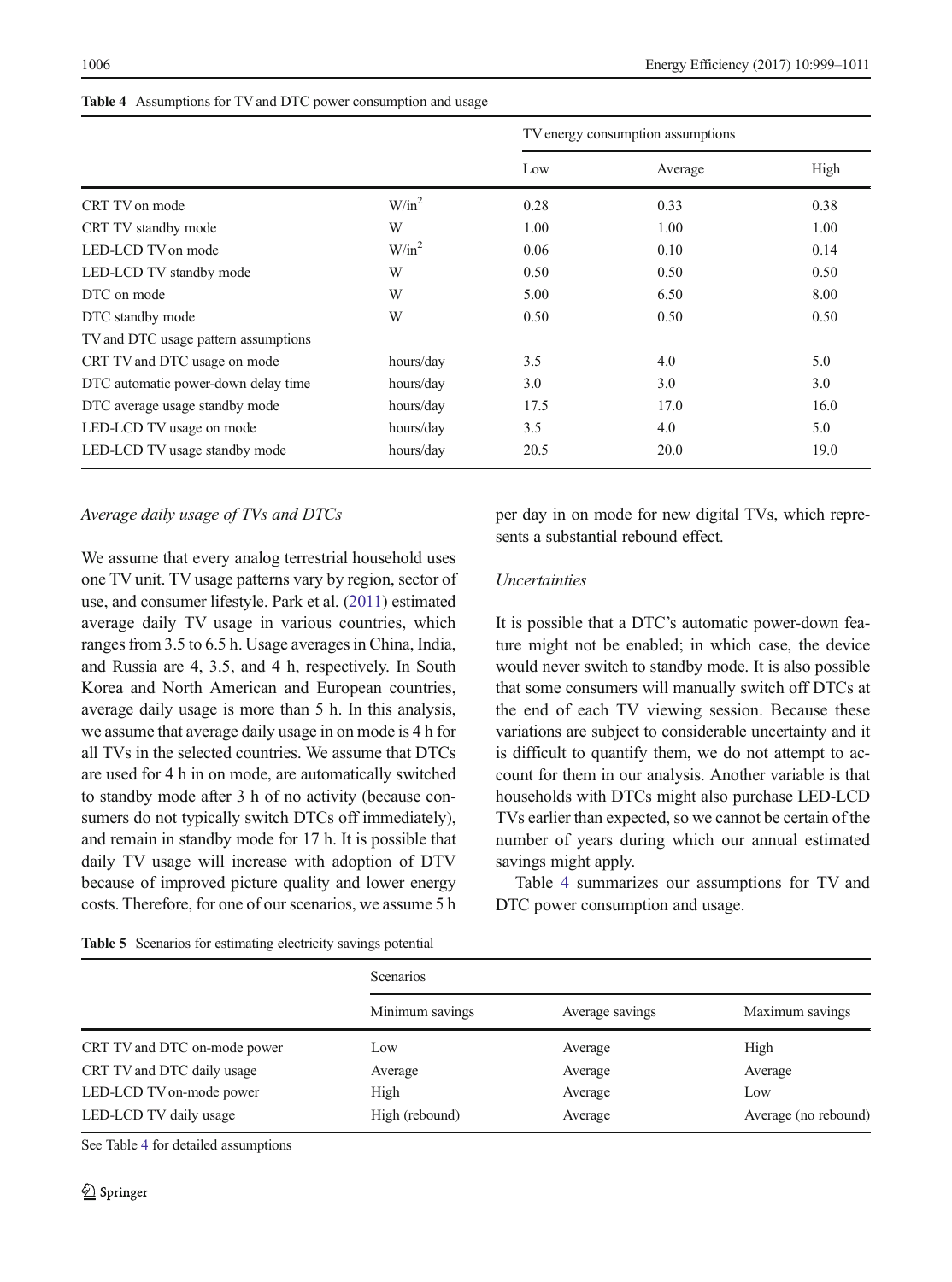|                                      |           | TV energy consumption assumptions |         |      |
|--------------------------------------|-----------|-----------------------------------|---------|------|
|                                      |           | Low                               | Average | High |
| CRT TV on mode                       | $W/in^2$  | 0.28                              | 0.33    | 0.38 |
| CRT TV standby mode                  | W         | 1.00                              | 1.00    | 1.00 |
| LED-LCD TV on mode                   | $W/in^2$  | 0.06                              | 0.10    | 0.14 |
| LED-LCD TV standby mode              | W         | 0.50                              | 0.50    | 0.50 |
| DTC on mode                          | W         | 5.00                              | 6.50    | 8.00 |
| DTC standby mode                     | W         | 0.50                              | 0.50    | 0.50 |
| TV and DTC usage pattern assumptions |           |                                   |         |      |
| CRT TV and DTC usage on mode         | hours/day | 3.5                               | 4.0     | 5.0  |
| DTC automatic power-down delay time  | hours/day | 3.0                               | 3.0     | 3.0  |
| DTC average usage standby mode       | hours/day | 17.5                              | 17.0    | 16.0 |
| LED-LCD TV usage on mode             | hours/day | 3.5                               | 4.0     | 5.0  |
| LED-LCD TV usage standby mode        | hours/day | 20.5                              | 20.0    | 19.0 |

#### <span id="page-7-0"></span>Table 4 Assumptions for TV and DTC power consumption and usage

## Average daily usage of TVs and DTCs

We assume that every analog terrestrial household uses one TV unit. TV usage patterns vary by region, sector of use, and consumer lifestyle. Park et al. ([2011\)](#page-12-0) estimated average daily TV usage in various countries, which ranges from 3.5 to 6.5 h. Usage averages in China, India, and Russia are 4, 3.5, and 4 h, respectively. In South Korea and North American and European countries, average daily usage is more than 5 h. In this analysis, we assume that average daily usage in on mode is 4 h for all TVs in the selected countries. We assume that DTCs are used for 4 h in on mode, are automatically switched to standby mode after 3 h of no activity (because consumers do not typically switch DTCs off immediately), and remain in standby mode for 17 h. It is possible that daily TV usage will increase with adoption of DTV because of improved picture quality and lower energy costs. Therefore, for one of our scenarios, we assume 5 h

Table 5 Scenarios for estimating electricity savings potential

per day in on mode for new digital TVs, which represents a substantial rebound effect.

## **Uncertainties**

It is possible that a DTC's automatic power-down feature might not be enabled; in which case, the device would never switch to standby mode. It is also possible that some consumers will manually switch off DTCs at the end of each TV viewing session. Because these variations are subject to considerable uncertainty and it is difficult to quantify them, we do not attempt to account for them in our analysis. Another variable is that households with DTCs might also purchase LED-LCD TVs earlier than expected, so we cannot be certain of the number of years during which our annual estimated savings might apply.

Table 4 summarizes our assumptions for TV and DTC power consumption and usage.

| <b>Table</b> of Decidence for Community encountry suvings potential |                  |                 |                      |  |  |
|---------------------------------------------------------------------|------------------|-----------------|----------------------|--|--|
|                                                                     | <b>Scenarios</b> |                 |                      |  |  |
|                                                                     | Minimum savings  | Average savings | Maximum savings      |  |  |
| CRT TV and DTC on-mode power                                        | Low              | Average         | High                 |  |  |
| CRT TV and DTC daily usage                                          | Average          | Average         | Average              |  |  |
| LED-LCD TV on-mode power                                            | High             | Average         | Low                  |  |  |
| LED-LCD TV daily usage                                              | High (rebound)   | Average         | Average (no rebound) |  |  |

See Table 4 for detailed assumptions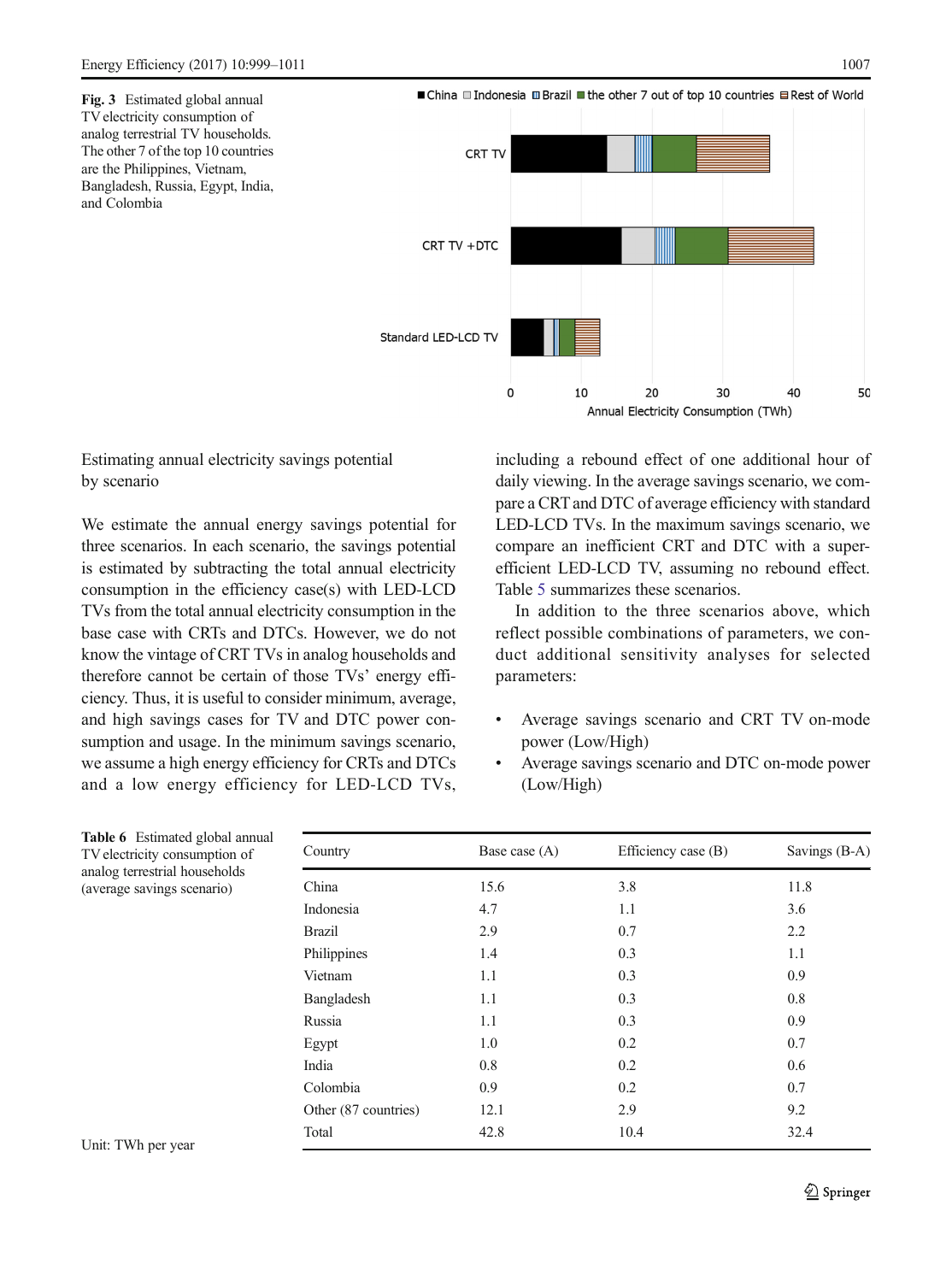<span id="page-8-0"></span>

## Estimating annual electricity savings potential by scenario

We estimate the annual energy savings potential for three scenarios. In each scenario, the savings potential is estimated by subtracting the total annual electricity consumption in the efficiency case(s) with LED-LCD TVs from the total annual electricity consumption in the base case with CRTs and DTCs. However, we do not know the vintage of CRT TVs in analog households and therefore cannot be certain of those TVs' energy efficiency. Thus, it is useful to consider minimum, average, and high savings cases for TV and DTC power consumption and usage. In the minimum savings scenario, we assume a high energy efficiency for CRTs and DTCs and a low energy efficiency for LED-LCD TVs,

including a rebound effect of one additional hour of daily viewing. In the average savings scenario, we compare a CRT and DTC of average efficiency with standard LED-LCD TVs. In the maximum savings scenario, we compare an inefficient CRT and DTC with a superefficient LED-LCD TV, assuming no rebound effect. Table [5](#page-7-0) summarizes these scenarios.

In addition to the three scenarios above, which reflect possible combinations of parameters, we conduct additional sensitivity analyses for selected parameters:

- & Average savings scenario and CRT TV on-mode power (Low/High)
- & Average savings scenario and DTC on-mode power (Low/High)

| Country              | Base case (A) | Efficiency case (B) | Savings (B-A) |
|----------------------|---------------|---------------------|---------------|
| China                | 15.6          | 3.8                 | 11.8          |
| Indonesia            | 4.7           | 1.1                 | 3.6           |
| <b>Brazil</b>        | 2.9           | 0.7                 | 2.2           |
| Philippines          | 1.4           | 0.3                 | 1.1           |
| Vietnam              | 1.1           | 0.3                 | 0.9           |
| Bangladesh           | 1.1           | 0.3                 | 0.8           |
| Russia               | 1.1           | 0.3                 | 0.9           |
| Egypt                | 1.0           | 0.2                 | 0.7           |
| India                | 0.8           | 0.2                 | 0.6           |
| Colombia             | 0.9           | 0.2                 | 0.7           |
| Other (87 countries) | 12.1          | 2.9                 | 9.2           |
| Total                | 42.8          | 10.4                | 32.4          |
|                      |               |                     |               |

Table 6 Estimated global annual TV electricity consumption of analog terrestrial households (average savings scenario)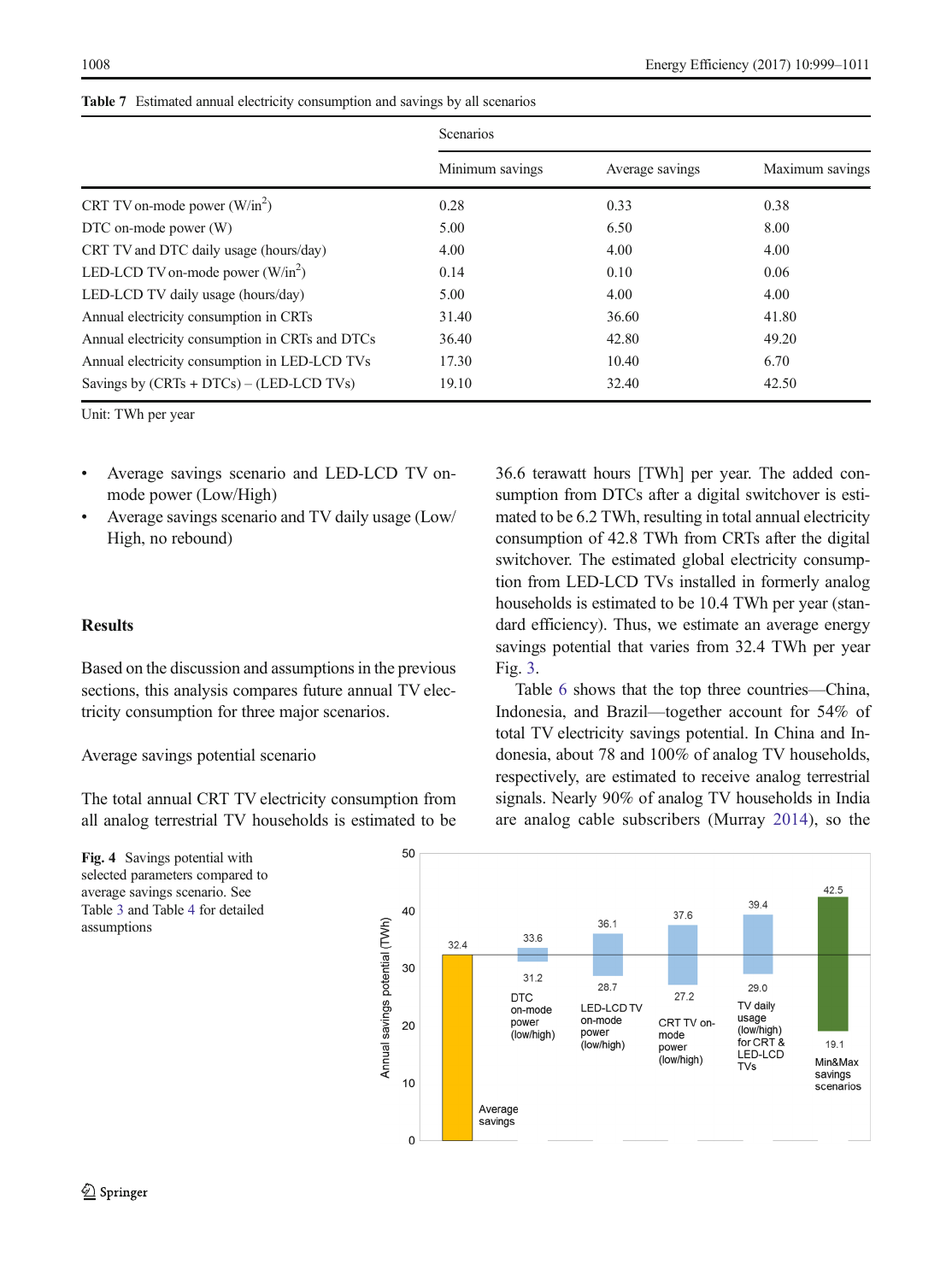|                                                 | <b>Scenarios</b> |                 |                 |  |
|-------------------------------------------------|------------------|-----------------|-----------------|--|
|                                                 | Minimum savings  | Average savings | Maximum savings |  |
| CRT TV on-mode power $(W/in^2)$                 | 0.28             | 0.33            | 0.38            |  |
| DTC on-mode power (W)                           | 5.00             | 6.50            | 8.00            |  |
| CRT TV and DTC daily usage (hours/day)          | 4.00             | 4.00            | 4.00            |  |
| LED-LCD TV on-mode power $(W/in^2)$             | 0.14             | 0.10            | 0.06            |  |
| LED-LCD TV daily usage (hours/day)              | 5.00             | 4.00            | 4.00            |  |
| Annual electricity consumption in CRTs          | 31.40            | 36.60           | 41.80           |  |
| Annual electricity consumption in CRTs and DTCs | 36.40            | 42.80           | 49.20           |  |
| Annual electricity consumption in LED-LCD TVs   | 17.30            | 10.40           | 6.70            |  |
| Savings by $(CRTs + DTCs) - (LED-LCD TVs)$      | 19.10            | 32.40           | 42.50           |  |

<span id="page-9-0"></span>Table 7 Estimated annual electricity consumption and savings by all scenarios

Unit: TWh per year

- & Average savings scenario and LED-LCD TV onmode power (Low/High)
- & Average savings scenario and TV daily usage (Low/ High, no rebound)

## **Results**

Based on the discussion and assumptions in the previous sections, this analysis compares future annual TV electricity consumption for three major scenarios.

Average savings potential scenario

The total annual CRT TV electricity consumption from all analog terrestrial TV households is estimated to be



36.6 terawatt hours [TWh] per year. The added consumption from DTCs after a digital switchover is estimated to be 6.2 TWh, resulting in total annual electricity consumption of 42.8 TWh from CRTs after the digital switchover. The estimated global electricity consumption from LED-LCD TVs installed in formerly analog households is estimated to be 10.4 TWh per year (standard efficiency). Thus, we estimate an average energy savings potential that varies from 32.4 TWh per year Fig. [3.](#page-8-0)

Table [6](#page-8-0) shows that the top three countries—China, Indonesia, and Brazil—together account for 54% of total TV electricity savings potential. In China and Indonesia, about 78 and 100% of analog TV households, respectively, are estimated to receive analog terrestrial signals. Nearly 90% of analog TV households in India are analog cable subscribers (Murray [2014\)](#page-11-0), so the

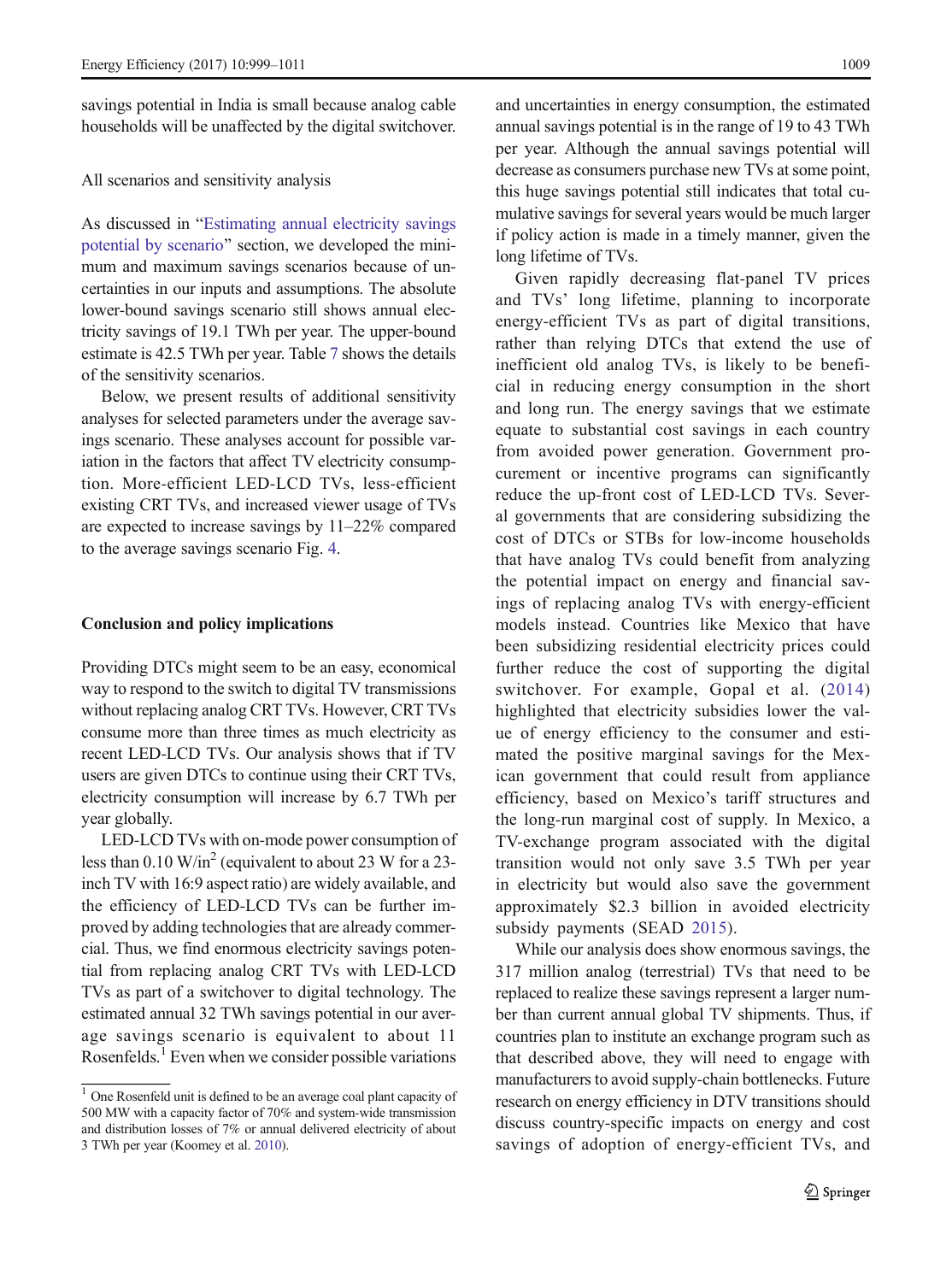<span id="page-10-0"></span>savings potential in India is small because analog cable households will be unaffected by the digital switchover.

#### All scenarios and sensitivity analysis

As discussed in "[Estimating annual electricity savings](#page-8-0)" [potential by scenario](#page-8-0)" section, we developed the minimum and maximum savings scenarios because of uncertainties in our inputs and assumptions. The absolute lower-bound savings scenario still shows annual electricity savings of 19.1 TWh per year. The upper-bound estimate is 42.5 TWh per year. Table [7](#page-9-0) shows the details of the sensitivity scenarios.

Below, we present results of additional sensitivity analyses for selected parameters under the average savings scenario. These analyses account for possible variation in the factors that affect TV electricity consumption. More-efficient LED-LCD TVs, less-efficient existing CRT TVs, and increased viewer usage of TVs are expected to increase savings by 11–22% compared to the average savings scenario Fig. [4](#page-9-0).

#### Conclusion and policy implications

Providing DTCs might seem to be an easy, economical way to respond to the switch to digital TV transmissions without replacing analog CRT TVs. However, CRT TVs consume more than three times as much electricity as recent LED-LCD TVs. Our analysis shows that if TV users are given DTCs to continue using their CRT TVs, electricity consumption will increase by 6.7 TWh per year globally.

LED-LCD TVs with on-mode power consumption of less than  $0.10 \text{ W/in}^2$  (equivalent to about 23 W for a 23inch TV with 16:9 aspect ratio) are widely available, and the efficiency of LED-LCD TVs can be further improved by adding technologies that are already commercial. Thus, we find enormous electricity savings potential from replacing analog CRT TVs with LED-LCD TVs as part of a switchover to digital technology. The estimated annual 32 TWh savings potential in our average savings scenario is equivalent to about 11 Rosenfelds.<sup>1</sup> Even when we consider possible variations

and uncertainties in energy consumption, the estimated annual savings potential is in the range of 19 to 43 TWh per year. Although the annual savings potential will decrease as consumers purchase new TVs at some point, this huge savings potential still indicates that total cumulative savings for several years would be much larger if policy action is made in a timely manner, given the long lifetime of TVs.

Given rapidly decreasing flat-panel TV prices and TVs' long lifetime, planning to incorporate energy-efficient TVs as part of digital transitions, rather than relying DTCs that extend the use of inefficient old analog TVs, is likely to be beneficial in reducing energy consumption in the short and long run. The energy savings that we estimate equate to substantial cost savings in each country from avoided power generation. Government procurement or incentive programs can significantly reduce the up-front cost of LED-LCD TVs. Several governments that are considering subsidizing the cost of DTCs or STBs for low-income households that have analog TVs could benefit from analyzing the potential impact on energy and financial savings of replacing analog TVs with energy-efficient models instead. Countries like Mexico that have been subsidizing residential electricity prices could further reduce the cost of supporting the digital switchover. For example, Gopal et al. [\(2014](#page-11-0)) highlighted that electricity subsidies lower the value of energy efficiency to the consumer and estimated the positive marginal savings for the Mexican government that could result from appliance efficiency, based on Mexico's tariff structures and the long-run marginal cost of supply. In Mexico, a TV-exchange program associated with the digital transition would not only save 3.5 TWh per year in electricity but would also save the government approximately \$2.3 billion in avoided electricity subsidy payments (SEAD [2015](#page-12-0)).

While our analysis does show enormous savings, the 317 million analog (terrestrial) TVs that need to be replaced to realize these savings represent a larger number than current annual global TV shipments. Thus, if countries plan to institute an exchange program such as that described above, they will need to engage with manufacturers to avoid supply-chain bottlenecks. Future research on energy efficiency in DTV transitions should discuss country-specific impacts on energy and cost savings of adoption of energy-efficient TVs, and

<sup>&</sup>lt;sup>1</sup> One Rosenfeld unit is defined to be an average coal plant capacity of 500 MW with a capacity factor of 70% and system-wide transmission and distribution losses of 7% or annual delivered electricity of about 3 TWh per year (Koomey et al. [2010\)](#page-11-0).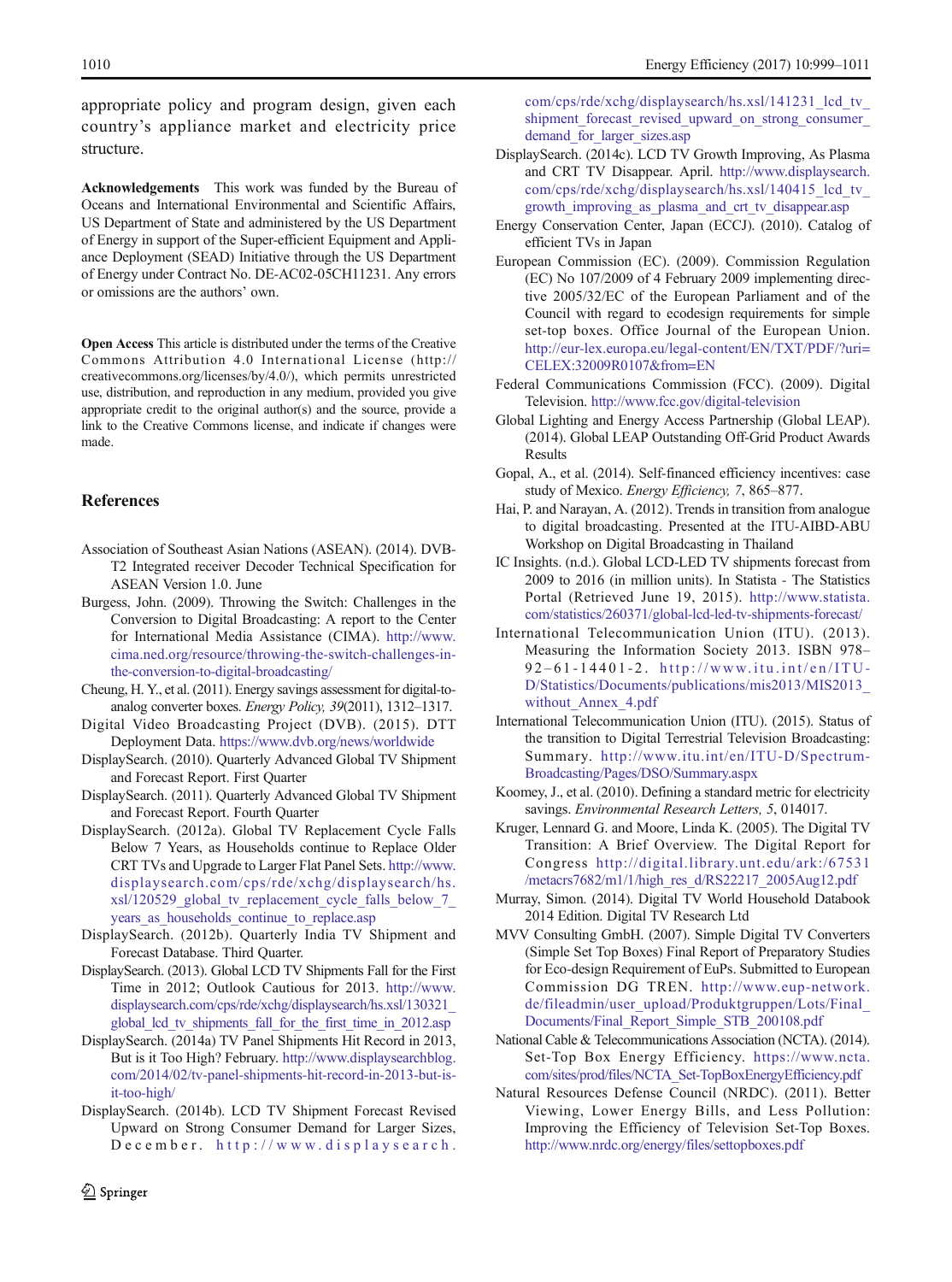<span id="page-11-0"></span>appropriate policy and program design, given each country's appliance market and electricity price structure.

Acknowledgements This work was funded by the Bureau of Oceans and International Environmental and Scientific Affairs, US Department of State and administered by the US Department of Energy in support of the Super-efficient Equipment and Appliance Deployment (SEAD) Initiative through the US Department of Energy under Contract No. DE-AC02-05CH11231. Any errors or omissions are the authors' own.

Open Access This article is distributed under the terms of the Creative Commons Attribution 4.0 International License (http:// creativecommons.org/licenses/by/4.0/), which permits unrestricted use, distribution, and reproduction in any medium, provided you give appropriate credit to the original author(s) and the source, provide a link to the Creative Commons license, and indicate if changes were made.

### **References**

- Association of Southeast Asian Nations (ASEAN). (2014). DVB-T2 Integrated receiver Decoder Technical Specification for ASEAN Version 1.0. June
- Burgess, John. (2009). Throwing the Switch: Challenges in the Conversion to Digital Broadcasting: A report to the Center for International Media Assistance (CIMA). [http://www.](http://www.cima.ned.org/resource/throwing-the-switch-challenges-in-the-conversion-to-digital-broadcasting/) [cima.ned.org/resource/throwing-the-switch-challenges-in](http://www.cima.ned.org/resource/throwing-the-switch-challenges-in-the-conversion-to-digital-broadcasting/)[the-conversion-to-digital-broadcasting/](http://www.cima.ned.org/resource/throwing-the-switch-challenges-in-the-conversion-to-digital-broadcasting/)
- Cheung, H. Y., et al. (2011). Energy savings assessment for digital-toanalog converter boxes. Energy Policy, 39(2011), 1312–1317.
- Digital Video Broadcasting Project (DVB). (2015). DTT Deployment Data. <https://www.dvb.org/news/worldwide>
- DisplaySearch. (2010). Quarterly Advanced Global TV Shipment and Forecast Report. First Quarter
- DisplaySearch. (2011). Quarterly Advanced Global TV Shipment and Forecast Report. Fourth Quarter
- DisplaySearch. (2012a). Global TV Replacement Cycle Falls Below 7 Years, as Households continue to Replace Older CRT TVs and Upgrade to Larger Flat Panel Sets. [http://www.](http://www.displaysearch.com/cps/rde/xchg/displaysearch/hs.xsl/120529_global_tv_replacement_cycle_falls_below_7_years_as_households_continue_to_replace.asp) [displaysearch.com/cps/rde/xchg/displaysearch/hs.](http://www.displaysearch.com/cps/rde/xchg/displaysearch/hs.xsl/120529_global_tv_replacement_cycle_falls_below_7_years_as_households_continue_to_replace.asp) xsl/120529\_global\_tv\_replacement\_cycle\_falls\_below\_7 years as households continue to replace.asp
- DisplaySearch. (2012b). Quarterly India TV Shipment and Forecast Database. Third Quarter.
- DisplaySearch. (2013). Global LCD TV Shipments Fall for the First Time in 2012; Outlook Cautious for 2013. [http://www.](http://www.displaysearch.com/cps/rde/xchg/displaysearch/hs.xsl/130321_global_lcd_tv_shipments_fall_for_the_first_time_in_2012.asp) [displaysearch.com/cps/rde/xchg/displaysearch/hs.xsl/130321\\_](http://www.displaysearch.com/cps/rde/xchg/displaysearch/hs.xsl/130321_global_lcd_tv_shipments_fall_for_the_first_time_in_2012.asp) global lcd tv shipments fall for the first time in 2012.asp
- DisplaySearch. (2014a) TV Panel Shipments Hit Record in 2013, But is it Too High? February. [http://www.displaysearchblog.](http://www.displaysearchblog.com/2014/02/tv-panel-shipments-hit-record-in-2013-but-is-it-too-high/) [com/2014/02/tv-panel-shipments-hit-record-in-2013-but-is](http://www.displaysearchblog.com/2014/02/tv-panel-shipments-hit-record-in-2013-but-is-it-too-high/)[it-too-high/](http://www.displaysearchblog.com/2014/02/tv-panel-shipments-hit-record-in-2013-but-is-it-too-high/)
- DisplaySearch. (2014b). LCD TV Shipment Forecast Revised Upward on Strong Consumer Demand for Larger Sizes, December. [http://www.displaysearch.](http://www.displaysearch.com/cps/rde/xchg/displaysearch/hs.xsl/141231_lcd_tv_shipment_forecast_revised_upward_on_strong_consumer_demand_for_larger_sizes.asp)

[com/cps/rde/xchg/displaysearch/hs.xsl/141231\\_lcd\\_tv\\_](http://www.displaysearch.com/cps/rde/xchg/displaysearch/hs.xsl/141231_lcd_tv_shipment_forecast_revised_upward_on_strong_consumer_demand_for_larger_sizes.asp) shipment forecast revised upward on strong consumer demand for larger sizes.asp

- DisplaySearch. (2014c). LCD TV Growth Improving, As Plasma and CRT TV Disappear. April. [http://www.displaysearch.](http://www.displaysearch.com/cps/rde/xchg/displaysearch/hs.xsl/140415_lcd_tv_growth_improving_as_plasma_and_crt_tv_disappear.asp) [com/cps/rde/xchg/displaysearch/hs.xsl/140415\\_lcd\\_tv\\_](http://www.displaysearch.com/cps/rde/xchg/displaysearch/hs.xsl/140415_lcd_tv_growth_improving_as_plasma_and_crt_tv_disappear.asp) [growth\\_improving\\_as\\_plasma\\_and\\_crt\\_tv\\_disappear.asp](http://www.displaysearch.com/cps/rde/xchg/displaysearch/hs.xsl/140415_lcd_tv_growth_improving_as_plasma_and_crt_tv_disappear.asp)
- Energy Conservation Center, Japan (ECCJ). (2010). Catalog of efficient TVs in Japan
- European Commission (EC). (2009). Commission Regulation (EC) No 107/2009 of 4 February 2009 implementing directive 2005/32/EC of the European Parliament and of the Council with regard to ecodesign requirements for simple set-top boxes. Office Journal of the European Union. [http://eur-lex.europa.eu/legal-content/EN/TXT/PDF/?uri=](http://eur-lex.europa.eu/legal-content/EN/TXT/PDF/?uri=CELEX:32009R0107&from=EN) [CELEX:32009R0107&from=EN](http://eur-lex.europa.eu/legal-content/EN/TXT/PDF/?uri=CELEX:32009R0107&from=EN)
- Federal Communications Commission (FCC). (2009). Digital Television. <http://www.fcc.gov/digital-television>
- Global Lighting and Energy Access Partnership (Global LEAP). (2014). Global LEAP Outstanding Off-Grid Product Awards Results
- Gopal, A., et al. (2014). Self-financed efficiency incentives: case study of Mexico. Energy Efficiency, 7, 865–877.
- Hai, P. and Narayan, A. (2012). Trends in transition from analogue to digital broadcasting. Presented at the ITU-AIBD-ABU Workshop on Digital Broadcasting in Thailand
- IC Insights. (n.d.). Global LCD-LED TV shipments forecast from 2009 to 2016 (in million units). In Statista - The Statistics Portal (Retrieved June 19, 2015). [http://www.statista.](http://www.statista.com/statistics/260371/global-lcd-led-tv-shipments-forecast/) [com/statistics/260371/global-lcd-led-tv-shipments-forecast/](http://www.statista.com/statistics/260371/global-lcd-led-tv-shipments-forecast/)
- International Telecommunication Union (ITU). (2013). Measuring the Information Society 2013. ISBN 978– 9 2 – 61-14401-2. [http://www.itu.int/en/ITU-](http://www.itu.int/en/ITU-D/Statistics/Documents/publications/mis2013/MIS2013_without_Annex_4.pdf)[D/Statistics/Documents/publications/mis2013/MIS2013\\_](http://www.itu.int/en/ITU-D/Statistics/Documents/publications/mis2013/MIS2013_without_Annex_4.pdf) without Annex 4.pdf
- International Telecommunication Union (ITU). (2015). Status of the transition to Digital Terrestrial Television Broadcasting: Summary. [http://www.itu.int/en/ITU-D/Spectrum-](http://www.itu.int/en/ITU-D/Spectrum-Broadcasting/Pages/DSO/Summary.aspx)[Broadcasting/Pages/DSO/Summary.aspx](http://www.itu.int/en/ITU-D/Spectrum-Broadcasting/Pages/DSO/Summary.aspx)
- Koomey, J., et al. (2010). Defining a standard metric for electricity savings. Environmental Research Letters, 5, 014017.
- Kruger, Lennard G. and Moore, Linda K. (2005). The Digital TV Transition: A Brief Overview. The Digital Report for Congress [http://digital.library.unt.edu/ark:/67531](http://digital.library.unt.edu/ark:/67531/metacrs7682/m1/1/high_res_d/RS22217_2005Aug12.pdf) [/metacrs7682/m1/1/high\\_res\\_d/RS22217\\_2005Aug12.pdf](http://digital.library.unt.edu/ark:/67531/metacrs7682/m1/1/high_res_d/RS22217_2005Aug12.pdf)
- Murray, Simon. (2014). Digital TV World Household Databook 2014 Edition. Digital TV Research Ltd
- MVV Consulting GmbH. (2007). Simple Digital TV Converters (Simple Set Top Boxes) Final Report of Preparatory Studies for Eco-design Requirement of EuPs. Submitted to European Commission DG TREN. [http://www.eup-network.](http://www.eup-network.de/fileadmin/user_upload/Produktgruppen/Lots/Final_Documents/Final_Report_Simple_STB_200108.pdf) [de/fileadmin/user\\_upload/Produktgruppen/Lots/Final\\_](http://www.eup-network.de/fileadmin/user_upload/Produktgruppen/Lots/Final_Documents/Final_Report_Simple_STB_200108.pdf) [Documents/Final\\_Report\\_Simple\\_STB\\_200108.pdf](http://www.eup-network.de/fileadmin/user_upload/Produktgruppen/Lots/Final_Documents/Final_Report_Simple_STB_200108.pdf)
- National Cable & Telecommunications Association (NCTA). (2014). Set-Top Box Energy Efficiency. [https://www.ncta.](https://www.ncta.com/sites/prod/files/NCTA_Set-TopBoxEnergyEfficiency.pdf) [com/sites/prod/files/NCTA\\_Set-TopBoxEnergyEfficiency.pdf](https://www.ncta.com/sites/prod/files/NCTA_Set-TopBoxEnergyEfficiency.pdf)
- Natural Resources Defense Council (NRDC). (2011). Better Viewing, Lower Energy Bills, and Less Pollution: Improving the Efficiency of Television Set-Top Boxes. <http://www.nrdc.org/energy/files/settopboxes.pdf>